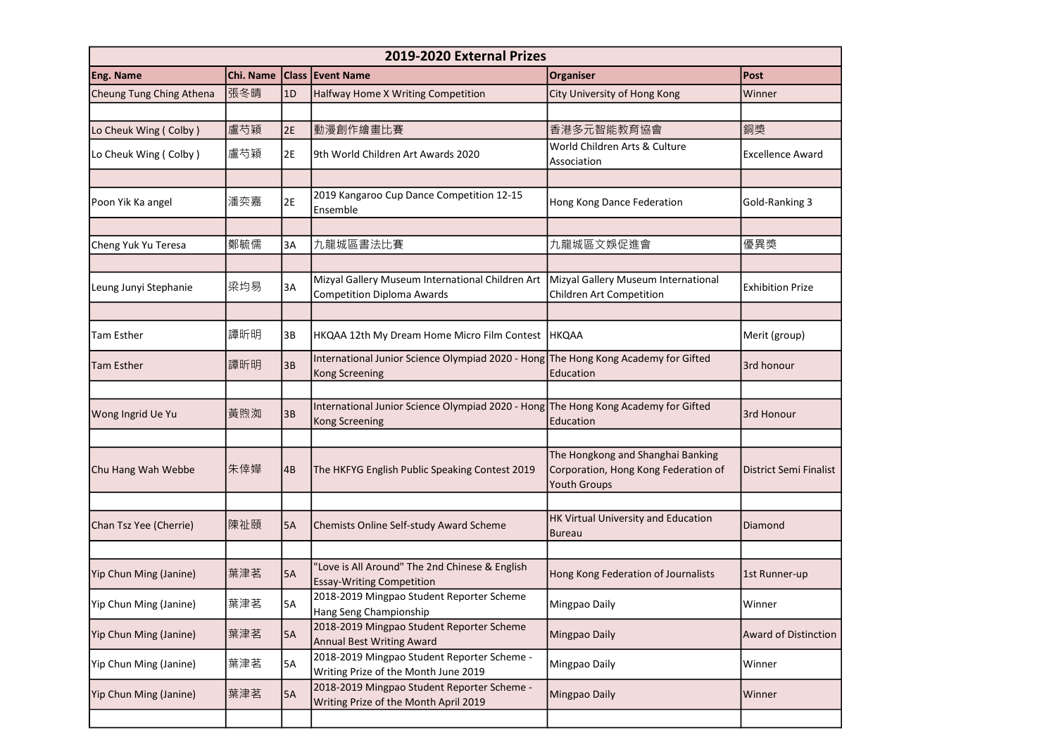| 2019-2020 External Prizes |           |    |                                                                                                      |                                                                                           |                               |
|---------------------------|-----------|----|------------------------------------------------------------------------------------------------------|-------------------------------------------------------------------------------------------|-------------------------------|
| <b>Eng. Name</b>          | Chi. Name |    | <b>Class Event Name</b>                                                                              | <b>Organiser</b>                                                                          | Post                          |
| Cheung Tung Ching Athena  | 張冬晴       | 1D | Halfway Home X Writing Competition                                                                   | City University of Hong Kong                                                              | Winner                        |
|                           |           |    |                                                                                                      |                                                                                           |                               |
| Lo Cheuk Wing (Colby)     | 盧芍穎       | 2E | 動漫創作繪畫比賽                                                                                             | 香港多元智能教育協會                                                                                | 銅獎                            |
| Lo Cheuk Wing (Colby)     | 盧芍穎       | 2E | 9th World Children Art Awards 2020                                                                   | World Children Arts & Culture<br>Association                                              | <b>Excellence Award</b>       |
|                           |           |    |                                                                                                      |                                                                                           |                               |
| Poon Yik Ka angel         | 潘奕嘉       | 2E | 2019 Kangaroo Cup Dance Competition 12-15<br>Ensemble                                                | Hong Kong Dance Federation                                                                | Gold-Ranking 3                |
|                           |           |    |                                                                                                      |                                                                                           |                               |
| Cheng Yuk Yu Teresa       | 鄭毓儒       | 3A | 九龍城區書法比賽                                                                                             | 九龍城區文娛促進會                                                                                 | 優異獎                           |
|                           |           |    |                                                                                                      |                                                                                           |                               |
| Leung Junyi Stephanie     | 梁均易       | 3A | Mizyal Gallery Museum International Children Art<br><b>Competition Diploma Awards</b>                | Mizyal Gallery Museum International<br>Children Art Competition                           | <b>Exhibition Prize</b>       |
|                           |           |    |                                                                                                      |                                                                                           |                               |
| Tam Esther                | 譚昕明       | 3B | HKQAA 12th My Dream Home Micro Film Contest   HKQAA                                                  |                                                                                           | Merit (group)                 |
| <b>Tam Esther</b>         | 譚昕明       | 3B | International Junior Science Olympiad 2020 - Hong The Hong Kong Academy for Gifted<br>Kong Screening | Education                                                                                 | 3rd honour                    |
|                           |           |    |                                                                                                      |                                                                                           |                               |
| Wong Ingrid Ue Yu         | 黃煦洳       | 3B | International Junior Science Olympiad 2020 - Hong The Hong Kong Academy for Gifted<br>Kong Screening | Education                                                                                 | 3rd Honour                    |
|                           |           |    |                                                                                                      |                                                                                           |                               |
| Chu Hang Wah Webbe        | 朱倖嬅       | 4B | The HKFYG English Public Speaking Contest 2019                                                       | The Hongkong and Shanghai Banking<br>Corporation, Hong Kong Federation of<br>Youth Groups | <b>District Semi Finalist</b> |
|                           |           |    |                                                                                                      |                                                                                           |                               |
| Chan Tsz Yee (Cherrie)    | 陳祉頤       | 5A | Chemists Online Self-study Award Scheme                                                              | HK Virtual University and Education<br><b>Bureau</b>                                      | Diamond                       |
|                           |           |    |                                                                                                      |                                                                                           |                               |
| Yip Chun Ming (Janine)    | 葉津茗       | 5A | 'Love is All Around" The 2nd Chinese & English<br><b>Essay-Writing Competition</b>                   | Hong Kong Federation of Journalists                                                       | 1st Runner-up                 |
| Yip Chun Ming (Janine)    | 葉津茗       | 5A | 2018-2019 Mingpao Student Reporter Scheme<br>Hang Seng Championship                                  | Mingpao Daily                                                                             | Winner                        |
| Yip Chun Ming (Janine)    | 葉津茗       | 5A | 2018-2019 Mingpao Student Reporter Scheme<br><b>Annual Best Writing Award</b>                        | Mingpao Daily                                                                             | <b>Award of Distinction</b>   |
| Yip Chun Ming (Janine)    | 葉津茗       | 5A | 2018-2019 Mingpao Student Reporter Scheme -<br>Writing Prize of the Month June 2019                  | Mingpao Daily                                                                             | Winner                        |
| Yip Chun Ming (Janine)    | 葉津茗       | 5A | 2018-2019 Mingpao Student Reporter Scheme -<br>Writing Prize of the Month April 2019                 | Mingpao Daily                                                                             | Winner                        |
|                           |           |    |                                                                                                      |                                                                                           |                               |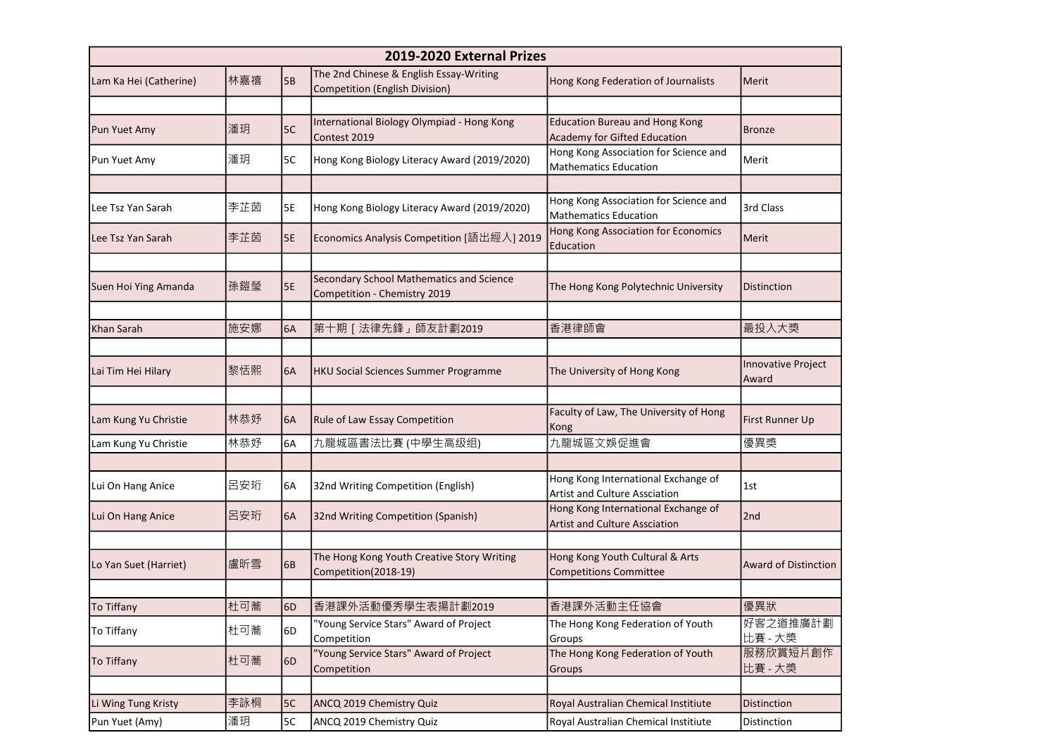| 2019-2020 External Prizes |     |           |                                                                                  |                                                                              |                                    |
|---------------------------|-----|-----------|----------------------------------------------------------------------------------|------------------------------------------------------------------------------|------------------------------------|
| Lam Ka Hei (Catherine)    | 林嘉禧 | <b>5B</b> | The 2nd Chinese & English Essay-Writing<br><b>Competition (English Division)</b> | Hong Kong Federation of Journalists                                          | Merit                              |
| Pun Yuet Amy              | 潘玥  | 5C        | International Biology Olympiad - Hong Kong<br>Contest 2019                       | <b>Education Bureau and Hong Kong</b><br><b>Academy for Gifted Education</b> | <b>Bronze</b>                      |
| Pun Yuet Amy              | 潘玥  | 5C        | Hong Kong Biology Literacy Award (2019/2020)                                     | Hong Kong Association for Science and<br><b>Mathematics Education</b>        | Merit                              |
| Lee Tsz Yan Sarah         | 李芷茵 | 5E        | Hong Kong Biology Literacy Award (2019/2020)                                     | Hong Kong Association for Science and<br><b>Mathematics Education</b>        | 3rd Class                          |
| Lee Tsz Yan Sarah         | 李芷茵 | 5E        | Economics Analysis Competition [語出經人] 2019                                       | Hong Kong Association for Economics<br>Education                             | Merit                              |
| Suen Hoi Ying Amanda      | 孫鎧瑩 | 5E        | Secondary School Mathematics and Science<br>Competition - Chemistry 2019         | The Hong Kong Polytechnic University                                         | Distinction                        |
| Khan Sarah                | 施安娜 | 6A        | 第十期 [ 法律先鋒 」 師友計劃2019                                                            | 香港律師會                                                                        | 最投入大獎                              |
| Lai Tim Hei Hilary        | 黎恬熙 | 6A        | HKU Social Sciences Summer Programme                                             | The University of Hong Kong                                                  | <b>Innovative Project</b><br>Award |
| Lam Kung Yu Christie      | 林恭妤 | 6A        | Rule of Law Essay Competition                                                    | Faculty of Law, The University of Hong<br>Kong                               | First Runner Up                    |
| Lam Kung Yu Christie      | 林恭妤 | 6A        | 九龍城區書法比賽 (中學生高级组)                                                                | 九龍城區文娛促進會                                                                    | 優異獎                                |
| Lui On Hang Anice         | 呂安珩 | 6A        | 32nd Writing Competition (English)                                               | Hong Kong International Exchange of<br>Artist and Culture Assciation         | 1st                                |
| Lui On Hang Anice         | 呂安珩 | 6A        | 32nd Writing Competition (Spanish)                                               | Hong Kong International Exchange of<br><b>Artist and Culture Assciation</b>  | 2 <sub>nd</sub>                    |
| Lo Yan Suet (Harriet)     | 盧昕雪 | 6B        | The Hong Kong Youth Creative Story Writing<br>Competition(2018-19)               | Hong Kong Youth Cultural & Arts<br><b>Competitions Committee</b>             | <b>Award of Distinction</b>        |
| To Tiffany                | 杜可蕎 | 6D        | 香港課外活動優秀學生表揚計劃2019                                                               | 香港課外活動主任協會                                                                   | 優異狀                                |
| To Tiffany                | 杜可蕎 | 6D        | "Young Service Stars" Award of Project<br>Competition                            | The Hong Kong Federation of Youth<br>Groups                                  | 好客之道推廣計劃<br>比賽 - 大獎                |
| To Tiffany                | 杜可蕎 | 6D        | "Young Service Stars" Award of Project<br>Competition                            | The Hong Kong Federation of Youth<br>Groups                                  | 服務欣賞短片創作<br>比賽 - 大獎                |
| Li Wing Tung Kristy       | 李詠桐 | 5C        | ANCQ 2019 Chemistry Quiz                                                         | Royal Australian Chemical Institiute                                         | <b>Distinction</b>                 |
| Pun Yuet (Amy)            | 潘玥  | 5C        | ANCQ 2019 Chemistry Quiz                                                         | Royal Australian Chemical Institiute                                         | Distinction                        |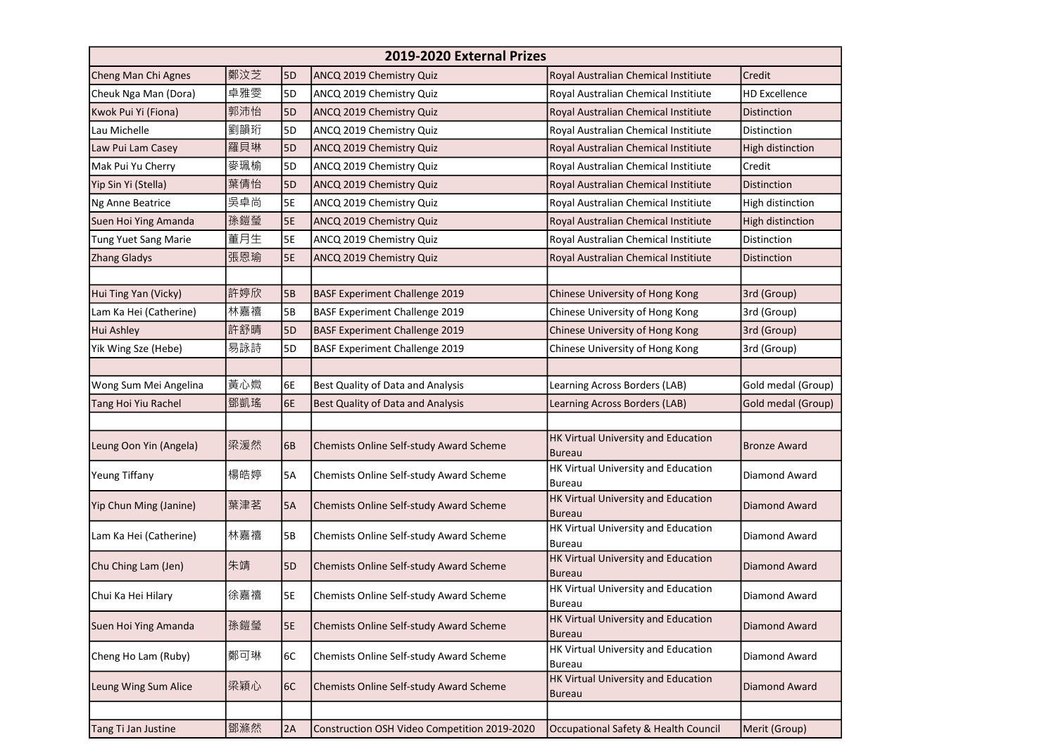| 2019-2020 External Prizes |     |                |                                              |                                                             |                      |  |
|---------------------------|-----|----------------|----------------------------------------------|-------------------------------------------------------------|----------------------|--|
| Cheng Man Chi Agnes       | 鄭汶芝 | 5D             | ANCQ 2019 Chemistry Quiz                     | Royal Australian Chemical Institiute                        | Credit               |  |
| Cheuk Nga Man (Dora)      | 卓雅雯 | 5D             | ANCQ 2019 Chemistry Quiz                     | Royal Australian Chemical Institiute                        | <b>HD Excellence</b> |  |
| Kwok Pui Yi (Fiona)       | 郭沛怡 | 5 <sub>D</sub> | ANCQ 2019 Chemistry Quiz                     | Royal Australian Chemical Institiute                        | <b>Distinction</b>   |  |
| Lau Michelle              | 劉韻珩 | 5D             | ANCQ 2019 Chemistry Quiz                     | Royal Australian Chemical Institiute                        | Distinction          |  |
| Law Pui Lam Casey         | 羅貝琳 | 5D             | ANCQ 2019 Chemistry Quiz                     | Royal Australian Chemical Institiute                        | High distinction     |  |
| Mak Pui Yu Cherry         | 麥珮榆 | 5D             | ANCQ 2019 Chemistry Quiz                     | Royal Australian Chemical Institiute                        | Credit               |  |
| Yip Sin Yi (Stella)       | 葉倩怡 | 5 <sub>D</sub> | ANCQ 2019 Chemistry Quiz                     | Royal Australian Chemical Institiute                        | <b>Distinction</b>   |  |
| Ng Anne Beatrice          | 吳卓尚 | 5E             | ANCQ 2019 Chemistry Quiz                     | Royal Australian Chemical Institiute                        | High distinction     |  |
| Suen Hoi Ying Amanda      | 孫鎧瑩 | <b>5E</b>      | ANCQ 2019 Chemistry Quiz                     | Royal Australian Chemical Institiute                        | High distinction     |  |
| Tung Yuet Sang Marie      | 董月生 | 5E             | ANCQ 2019 Chemistry Quiz                     | Royal Australian Chemical Institiute                        | Distinction          |  |
| Zhang Gladys              | 張恩瑜 | 5E             | ANCQ 2019 Chemistry Quiz                     | Royal Australian Chemical Institiute                        | Distinction          |  |
| Hui Ting Yan (Vicky)      | 許婷欣 | 5B             | <b>BASF Experiment Challenge 2019</b>        | Chinese University of Hong Kong                             | 3rd (Group)          |  |
| Lam Ka Hei (Catherine)    | 林嘉禧 | 5B             | <b>BASF Experiment Challenge 2019</b>        | Chinese University of Hong Kong                             | 3rd (Group)          |  |
| <b>Hui Ashley</b>         | 許舒晴 | 5D             | <b>BASF Experiment Challenge 2019</b>        | Chinese University of Hong Kong                             | 3rd (Group)          |  |
| Yik Wing Sze (Hebe)       | 易詠詩 | 5D             | <b>BASF Experiment Challenge 2019</b>        | Chinese University of Hong Kong                             | 3rd (Group)          |  |
|                           |     |                |                                              |                                                             |                      |  |
| Wong Sum Mei Angelina     | 黃心媺 | 6E             | Best Quality of Data and Analysis            | Learning Across Borders (LAB)                               | Gold medal (Group)   |  |
| Tang Hoi Yiu Rachel       | 鄧凱瑤 | 6E             | Best Quality of Data and Analysis            | Learning Across Borders (LAB)                               | Gold medal (Group)   |  |
| Leung Oon Yin (Angela)    | 梁湲然 | 6B             | Chemists Online Self-study Award Scheme      | HK Virtual University and Education<br><b>Bureau</b>        | <b>Bronze Award</b>  |  |
| Yeung Tiffany             | 楊皓婷 | 5A             | Chemists Online Self-study Award Scheme      | HK Virtual University and Education<br><b>Bureau</b>        | Diamond Award        |  |
| Yip Chun Ming (Janine)    | 葉津茗 | 5A             | Chemists Online Self-study Award Scheme      | HK Virtual University and Education<br><b>Bureau</b>        | Diamond Award        |  |
| Lam Ka Hei (Catherine)    | 林嘉禧 | 5B             | Chemists Online Self-study Award Scheme      | HK Virtual University and Education<br><b>Bureau</b>        | Diamond Award        |  |
| Chu Ching Lam (Jen)       | 朱靖  | 5 <sub>D</sub> | Chemists Online Self-study Award Scheme      | HK Virtual University and Education<br><b>Bureau</b>        | Diamond Award        |  |
| Chui Ka Hei Hilary        | 徐嘉禧 | 5E             | Chemists Online Self-study Award Scheme      | HK Virtual University and Education<br>Bureau               | Diamond Award        |  |
| Suen Hoi Ying Amanda      | 孫鎧瑩 | 5E             | Chemists Online Self-study Award Scheme      | <b>HK Virtual University and Education</b><br><b>Bureau</b> | <b>Diamond Award</b> |  |
| Cheng Ho Lam (Ruby)       | 鄭可琳 | 6C             | Chemists Online Self-study Award Scheme      | HK Virtual University and Education<br><b>Bureau</b>        | Diamond Award        |  |
| Leung Wing Sum Alice      | 梁穎心 | 6C             | Chemists Online Self-study Award Scheme      | HK Virtual University and Education<br><b>Bureau</b>        | Diamond Award        |  |
| Tang Ti Jan Justine       | 鄧滌然 | 2A             | Construction OSH Video Competition 2019-2020 | Occupational Safety & Health Council                        | Merit (Group)        |  |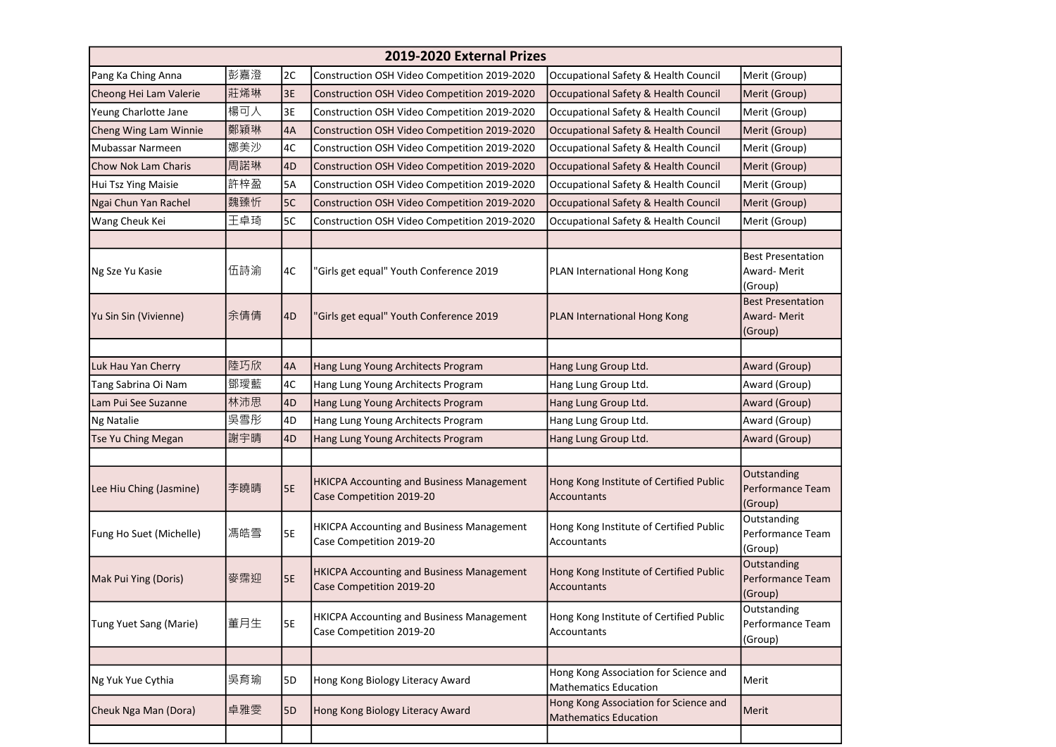| 2019-2020 External Prizes |     |           |                                                                              |                                                                       |                                                    |  |
|---------------------------|-----|-----------|------------------------------------------------------------------------------|-----------------------------------------------------------------------|----------------------------------------------------|--|
| Pang Ka Ching Anna        | 彭嘉澄 | 2C        | Construction OSH Video Competition 2019-2020                                 | Occupational Safety & Health Council                                  | Merit (Group)                                      |  |
| Cheong Hei Lam Valerie    | 莊烯琳 | 3E        | Construction OSH Video Competition 2019-2020                                 | Occupational Safety & Health Council                                  | Merit (Group)                                      |  |
| Yeung Charlotte Jane      | 楊可人 | 3E        | Construction OSH Video Competition 2019-2020                                 | Occupational Safety & Health Council                                  | Merit (Group)                                      |  |
| Cheng Wing Lam Winnie     | 鄭穎琳 | 4A        | Construction OSH Video Competition 2019-2020                                 | Occupational Safety & Health Council                                  | Merit (Group)                                      |  |
| Mubassar Narmeen          | 娜美沙 | 4C        | Construction OSH Video Competition 2019-2020                                 | Occupational Safety & Health Council                                  | Merit (Group)                                      |  |
| Chow Nok Lam Charis       | 周諾琳 | 4D        | Construction OSH Video Competition 2019-2020                                 | Occupational Safety & Health Council                                  | Merit (Group)                                      |  |
| Hui Tsz Ying Maisie       | 許梓盈 | <b>5A</b> | Construction OSH Video Competition 2019-2020                                 | Occupational Safety & Health Council                                  | Merit (Group)                                      |  |
| Ngai Chun Yan Rachel      | 魏臻忻 | 5C        | Construction OSH Video Competition 2019-2020                                 | Occupational Safety & Health Council                                  | Merit (Group)                                      |  |
| Wang Cheuk Kei            | 王卓琦 | 5C        | Construction OSH Video Competition 2019-2020                                 | Occupational Safety & Health Council                                  | Merit (Group)                                      |  |
|                           |     |           |                                                                              |                                                                       |                                                    |  |
| Ng Sze Yu Kasie           | 伍詩渝 | 4C        | 'Girls get equal" Youth Conference 2019                                      | PLAN International Hong Kong                                          | <b>Best Presentation</b><br>Award-Merit<br>(Group) |  |
| Yu Sin Sin (Vivienne)     | 余倩倩 | 4D        | 'Girls get equal" Youth Conference 2019                                      | PLAN International Hong Kong                                          | <b>Best Presentation</b><br>Award-Merit<br>(Group) |  |
|                           |     |           |                                                                              |                                                                       |                                                    |  |
| Luk Hau Yan Cherry        | 陸巧欣 | 4A        | Hang Lung Young Architects Program                                           | Hang Lung Group Ltd.                                                  | Award (Group)                                      |  |
| Tang Sabrina Oi Nam       | 鄧璦藍 | 4C        | Hang Lung Young Architects Program                                           | Hang Lung Group Ltd.                                                  | Award (Group)                                      |  |
| Lam Pui See Suzanne       | 林沛思 | 4D        | Hang Lung Young Architects Program                                           | Hang Lung Group Ltd.                                                  | Award (Group)                                      |  |
| <b>Ng Natalie</b>         | 吳雪彤 | 4D        | Hang Lung Young Architects Program                                           | Hang Lung Group Ltd.                                                  | Award (Group)                                      |  |
| Tse Yu Ching Megan        | 謝宇晴 | 4D        | Hang Lung Young Architects Program                                           | Hang Lung Group Ltd.                                                  | Award (Group)                                      |  |
|                           |     |           |                                                                              |                                                                       |                                                    |  |
| Lee Hiu Ching (Jasmine)   | 李曉晴 | 5E        | <b>HKICPA Accounting and Business Management</b><br>Case Competition 2019-20 | Hong Kong Institute of Certified Public<br>Accountants                | Outstanding<br>Performance Team<br>(Group)         |  |
| Fung Ho Suet (Michelle)   | 馮皓雪 | 5E        | <b>HKICPA Accounting and Business Management</b><br>Case Competition 2019-20 | Hong Kong Institute of Certified Public<br>Accountants                | Outstanding<br>Performance Team<br>(Group)         |  |
| Mak Pui Ying (Doris)      | 麥霈迎 | <b>5E</b> | <b>HKICPA Accounting and Business Management</b><br>Case Competition 2019-20 | Hong Kong Institute of Certified Public<br>Accountants                | Outstanding<br>Performance Team<br>(Group)         |  |
| Tung Yuet Sang (Marie)    | 董月生 | 5E        | HKICPA Accounting and Business Management<br>Case Competition 2019-20        | Hong Kong Institute of Certified Public<br>Accountants                | Outstanding<br>Performance Team<br>(Group)         |  |
|                           |     |           |                                                                              |                                                                       |                                                    |  |
| Ng Yuk Yue Cythia         | 吳育瑜 | 5D        | Hong Kong Biology Literacy Award                                             | Hong Kong Association for Science and<br>Mathematics Education        | Merit                                              |  |
| Cheuk Nga Man (Dora)      | 卓雅雯 | 5D        | Hong Kong Biology Literacy Award                                             | Hong Kong Association for Science and<br><b>Mathematics Education</b> | Merit                                              |  |
|                           |     |           |                                                                              |                                                                       |                                                    |  |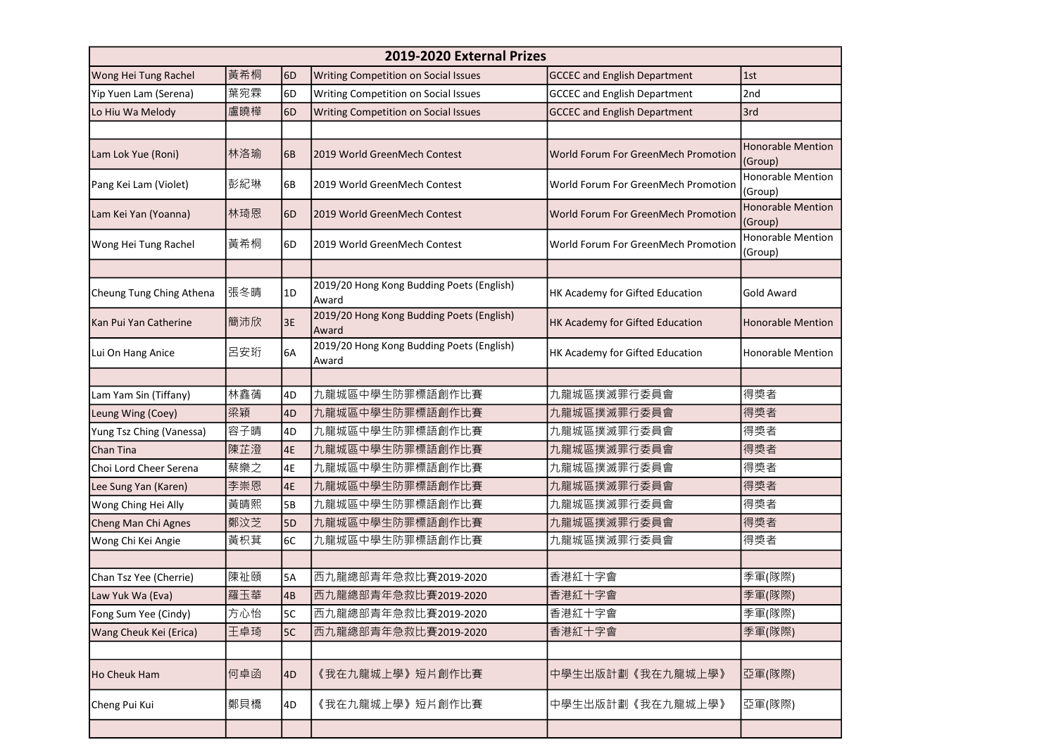| 2019-2020 External Prizes |     |                |                                                    |                                     |                                     |
|---------------------------|-----|----------------|----------------------------------------------------|-------------------------------------|-------------------------------------|
| Wong Hei Tung Rachel      | 黃希桐 | 6D             | <b>Writing Competition on Social Issues</b>        | <b>GCCEC and English Department</b> | 1st                                 |
| Yip Yuen Lam (Serena)     | 葉宛霖 | 6D             | Writing Competition on Social Issues               | <b>GCCEC and English Department</b> | 2nd                                 |
| Lo Hiu Wa Melody          | 盧曉樺 | 6D             | Writing Competition on Social Issues               | <b>GCCEC and English Department</b> | 3rd                                 |
|                           |     |                |                                                    |                                     |                                     |
| Lam Lok Yue (Roni)        | 林洛瑜 | 6B             | 2019 World GreenMech Contest                       | World Forum For GreenMech Promotion | <b>Honorable Mention</b><br>(Group) |
| Pang Kei Lam (Violet)     | 彭紀琳 | 6B             | 2019 World GreenMech Contest                       | World Forum For GreenMech Promotion | <b>Honorable Mention</b><br>(Group) |
| Lam Kei Yan (Yoanna)      | 林琦恩 | 6 <sub>D</sub> | 2019 World GreenMech Contest                       | World Forum For GreenMech Promotion | <b>Honorable Mention</b><br>(Group) |
| Wong Hei Tung Rachel      | 黃希桐 | 6D             | 2019 World GreenMech Contest                       | World Forum For GreenMech Promotion | <b>Honorable Mention</b><br>(Group) |
|                           |     |                |                                                    |                                     |                                     |
| Cheung Tung Ching Athena  | 張冬晴 | 1D             | 2019/20 Hong Kong Budding Poets (English)<br>Award | HK Academy for Gifted Education     | Gold Award                          |
| Kan Pui Yan Catherine     | 簡沛欣 | 3E             | 2019/20 Hong Kong Budding Poets (English)<br>Award | HK Academy for Gifted Education     | Honorable Mention                   |
| Lui On Hang Anice         | 呂安珩 | 6A             | 2019/20 Hong Kong Budding Poets (English)<br>Award | HK Academy for Gifted Education     | Honorable Mention                   |
|                           |     |                |                                                    |                                     |                                     |
| Lam Yam Sin (Tiffany)     | 林鑫蒨 | 4D             | 九龍城區中學生防罪標語創作比賽                                    | 九龍城區撲滅罪行委員會                         | 得獎者                                 |
| Leung Wing (Coey)         | 梁穎  | 4D             | 九龍城區中學生防罪標語創作比賽                                    | 九龍城區撲滅罪行委員會                         | 得獎者                                 |
| Yung Tsz Ching (Vanessa)  | 容子晴 | 4D             | 九龍城區中學生防罪標語創作比賽                                    | 九龍城區撲滅罪行委員會                         | 得獎者                                 |
| Chan Tina                 | 陳芷澄 | 4E             | 九龍城區中學生防罪標語創作比賽                                    | 九龍城區撲滅罪行委員會                         | 得獎者                                 |
| Choi Lord Cheer Serena    | 蔡樂之 | 4E             | 九龍城區中學生防罪標語創作比賽                                    | 九龍城區撲滅罪行委員會                         | 得獎者                                 |
| Lee Sung Yan (Karen)      | 李崇恩 | 4E             | 九龍城區中學生防罪標語創作比賽                                    | 九龍城區撲滅罪行委員會                         | 得獎者                                 |
| Wong Ching Hei Ally       | 黃晴熙 | 5B             | 九龍城區中學生防罪標語創作比賽                                    | 九龍城區撲滅罪行委員會                         | 得獎者                                 |
| Cheng Man Chi Agnes       | 鄭汶芝 | 5D             | 九龍城區中學生防罪標語創作比賽                                    | 九龍城區撲滅罪行委員會                         | 得獎者                                 |
| Wong Chi Kei Angie        | 黃枳萁 | 6C             | 九龍城區中學生防罪標語創作比賽                                    | 九龍城區撲滅罪行委員會                         | 得獎者                                 |
|                           |     |                |                                                    |                                     |                                     |
| Chan Tsz Yee (Cherrie)    | 陳祉頤 | 5A             | 西九龍總部青年急救比賽2019-2020                               | 香港紅十字會                              | 季軍(隊際)                              |
| Law Yuk Wa (Eva)          | 羅玉華 | 4B             | 西九龍總部青年急救比賽2019-2020                               | 香港紅十字會                              | 季軍(隊際)                              |
| Fong Sum Yee (Cindy)      | 方心怡 | 5C             | 西九龍總部青年急救比賽2019-2020                               | 香港紅十字會                              | 季軍(隊際)                              |
| Wang Cheuk Kei (Erica)    | 王卓琦 | 5C             | 西九龍總部青年急救比賽2019-2020                               | 香港紅十字會                              | 季軍(隊際)                              |
|                           |     |                |                                                    |                                     |                                     |
| Ho Cheuk Ham              | 何卓函 | 4D             | 《我在九龍城上學》短片創作比賽                                    | 中學生出版計劃《我在九龍城上學》                    | 亞軍(隊際)                              |
| Cheng Pui Kui             | 鄭貝橋 | 4D             | 《我在九龍城上學》短片創作比賽                                    | 中學生出版計劃《我在九龍城上學》                    | 亞軍(隊際)                              |
|                           |     |                |                                                    |                                     |                                     |